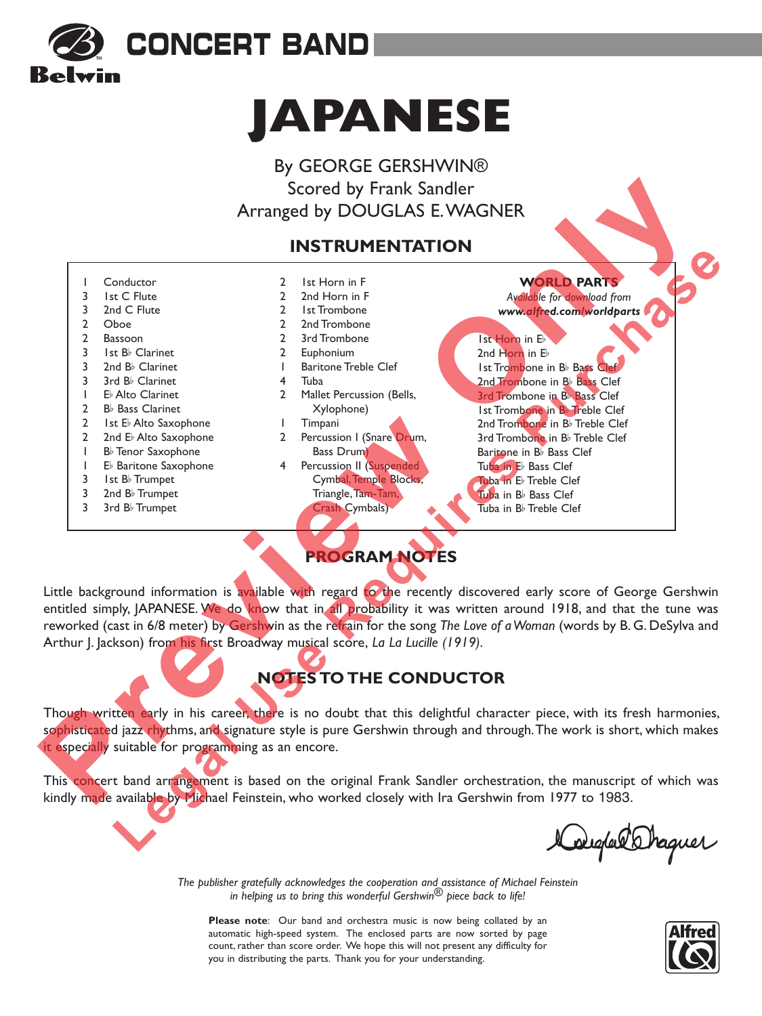

# **JAPANESE**

By GEORGE GERSHWIN® Scored by Frank Sandler Arranged by DOUGLAS E. WAGNER

## **INSTRUMENTATION**

- 1 Conductor
- 3 1st C Flute
- 3 2nd C Flute
- 2 Oboe
- 2 Bassoon
- 3 1st  $B$  Clarinet<br>3 2nd  $B$  Clarinet
- 2nd  $B$  Clarinet
- 3 3rd  $B$  Clarinet
- 1 E% Alto Clarinet
- 2 B<sub>b</sub> Bass Clarinet
- 2 1st  $E^{\flat}$  Alto Saxophone
- 2 2nd E<sup>b</sup> Alto Saxophone
- 1 B% Tenor Saxophone
- 1 E% Baritone Saxophone
- $3$  1st B<sub>b</sub> Trumpet
- 3 2nd B<sub>p</sub> Trumpet
- 3 3rd  $B$  Trumpet
- 2 1st Horn in F
- 2 2nd Horn in F
- 2 1st Trombone<br>2 2nd Trombone
- 2nd Trombone
- 2 3rd Trombone
- 2 Euphonium
- 1 Baritone Treble Clef
- 4 Tuba
- 2 Mallet Percussion (Bells, Xylophone)
- 1 Timpani
- 2 Percussion I (Snare Drum, Bass Drum)
- 4 Percussion II (Suspended Cymbal, Temple Blocks, Triangle, Tam-Tam, Crash Cymbals)

**WORLD PARTS** *Available for download from www.alfred.com/worldparts*

1st Horn in E% 2nd Horn in E

Ist Trombone in B<sub>b</sub> Bass Cle 2nd Trombone in B<sub>&</sub> Bass Clef 3rd Trombone in B% Bass Clef 1st Trombone in B% Treble Clef 2nd Trombone in B<sub>b</sub> Treble Clef 3rd Trombone in B<sub>b</sub> Treble Clef Baritone in B<sub>b</sub> Bass Clef Tuba in E<sub>b</sub> Bass Clef Tuba in E<sub></sub> Treble Clef Tuba in B% Bass Clef Tuba in B% Treble Clef

# **PROGRAM NOTES**

Little background information is available with regard to the recently discovered early score of George Gershwin entitled simply, JAPANESE. We do know that in all probability it was written around 1918, and that the tune was reworked (cast in 6/8 meter) by Gershwin as the refrain for the song *The Love of a Woman* (words by B. G. DeSylva and Arthur J. Jackson) from his first Broadway musical score, *La La Lucille (1919)*. Scored by Frank Sandler<br> **Preview INSTRUMENTATION**<br> **Preview Considers**<br> **Preview Considers**<br> **Preview Considers**<br> **Preview Considers Considers Consider Considers Consider Considers Consider Considers Consider Considers Co** Column 2 and the Column 2 and the Column Column 2 and the Column 2 and the Column 2 and the Column 2 and the Column 2 and the Column 2 and the Column 2 and the Column 2 and the Column 2 and the Column 2 and the Column 2 an

# **NOTES TO THE CONDUCTOR**

Though written early in his career, there is no doubt that this delightful character piece, with its fresh harmonies, sophisticated jazz rhythms, and signature style is pure Gershwin through and through. The work is short, which makes it especially suitable for programming as an encore.

This concert band arrangement is based on the original Frank Sandler orchestration, the manuscript of which was kindly made available by Michael Feinstein, who worked closely with Ira Gershwin from 1977 to 1983.

*The publisher gratefully acknowledges the cooperation and assistance of Michael Feinstein in helping us to bring this wonderful Gershwin® piece back to life!*

**Please note**: Our band and orchestra music is now being collated by an automatic high-speed system. The enclosed parts are now sorted by page count, rather than score order. We hope this will not present any difficulty for you in distributing the parts. Thank you for your understanding.

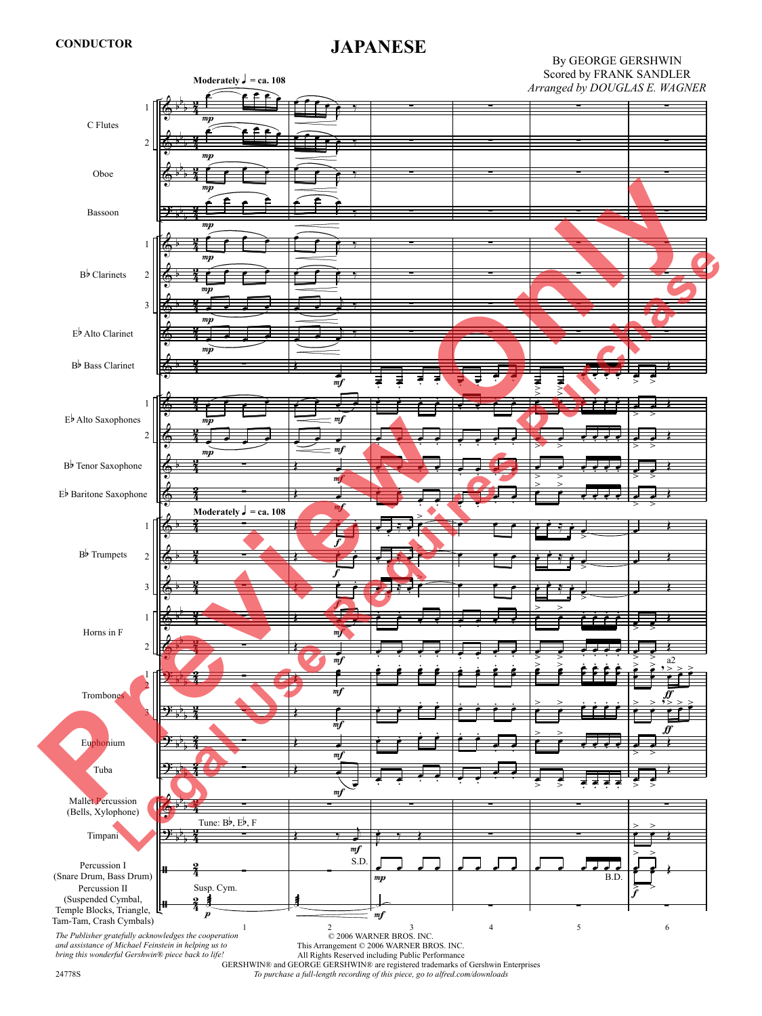### **CONDUCTOR JAPANESE**

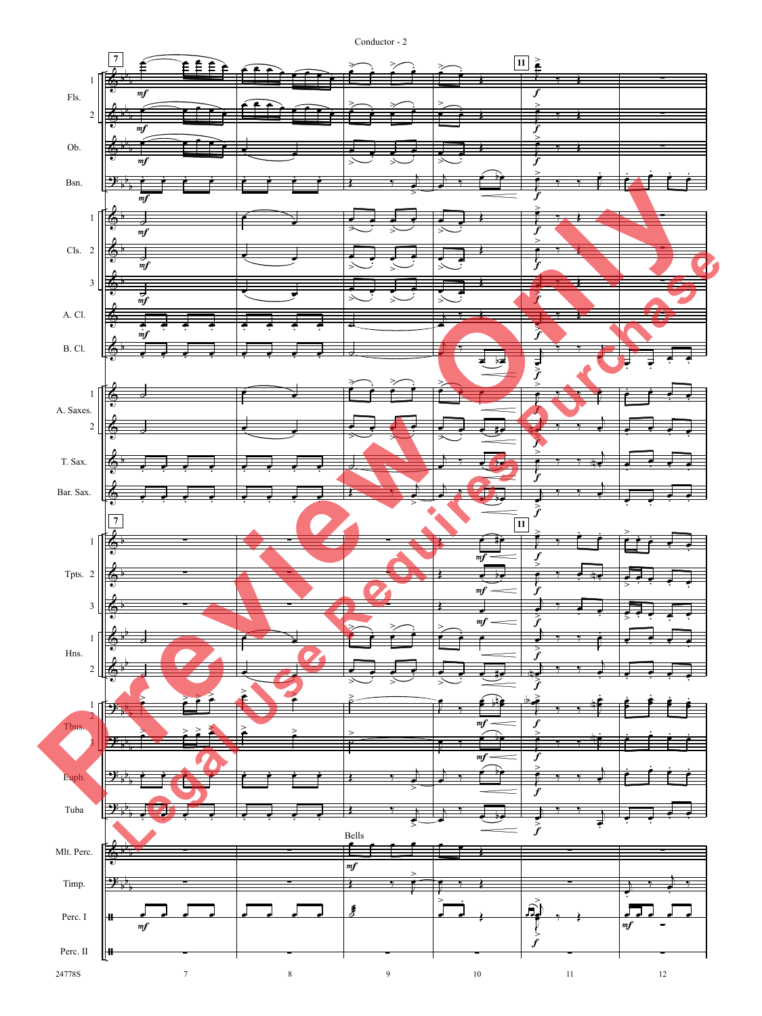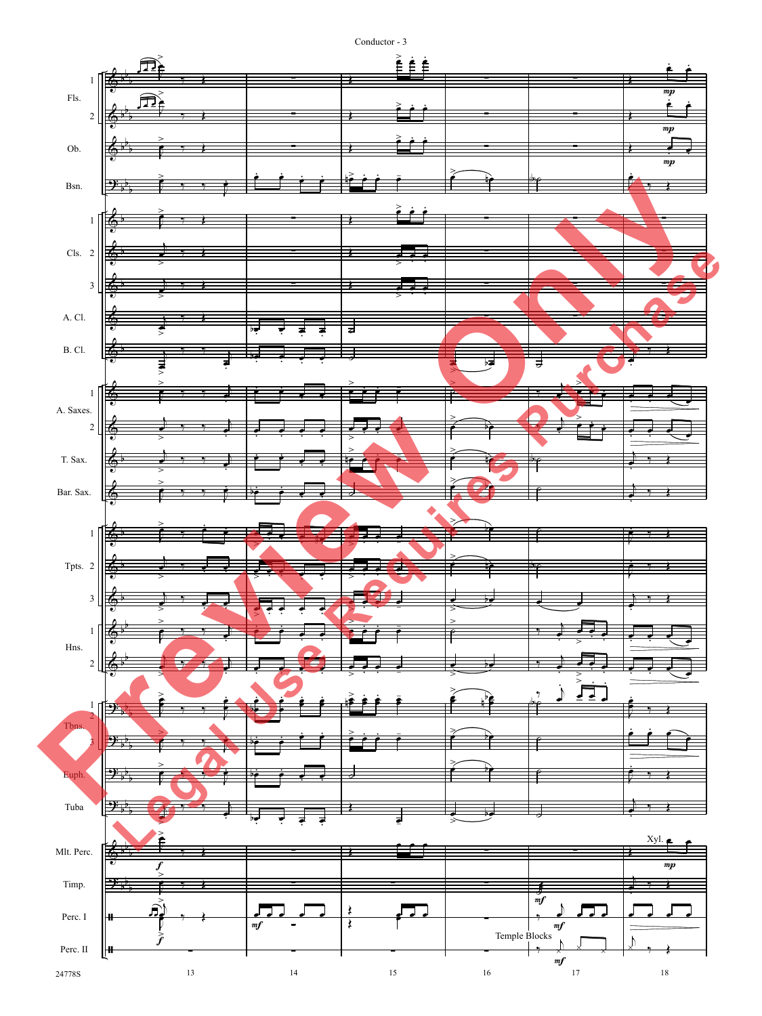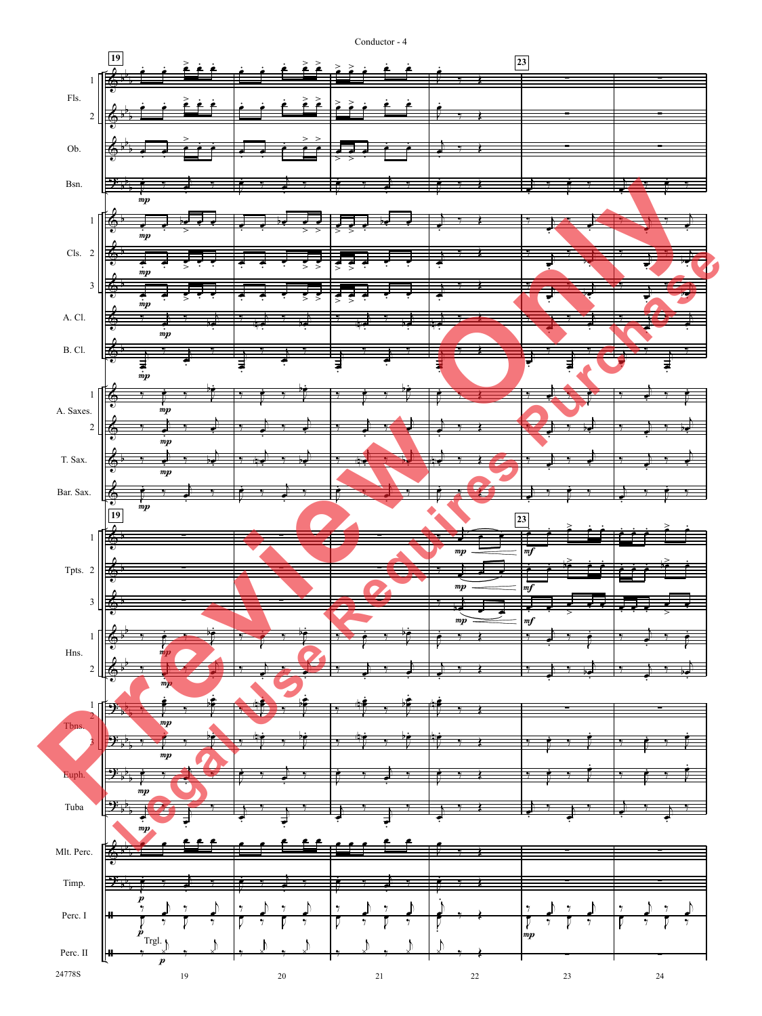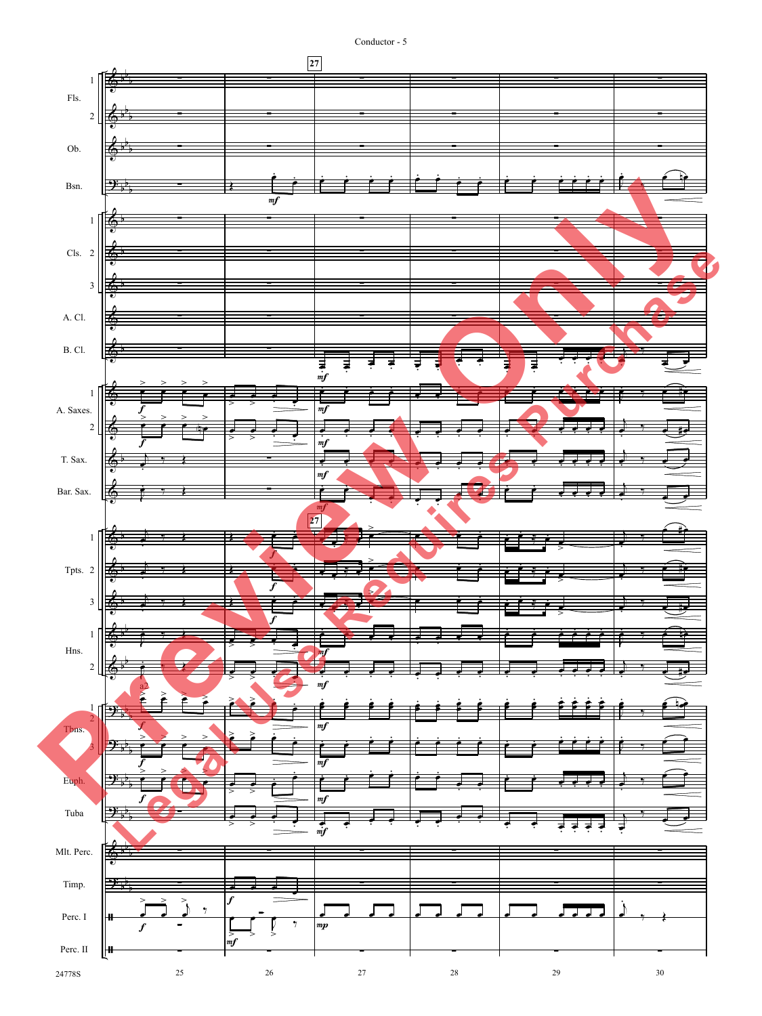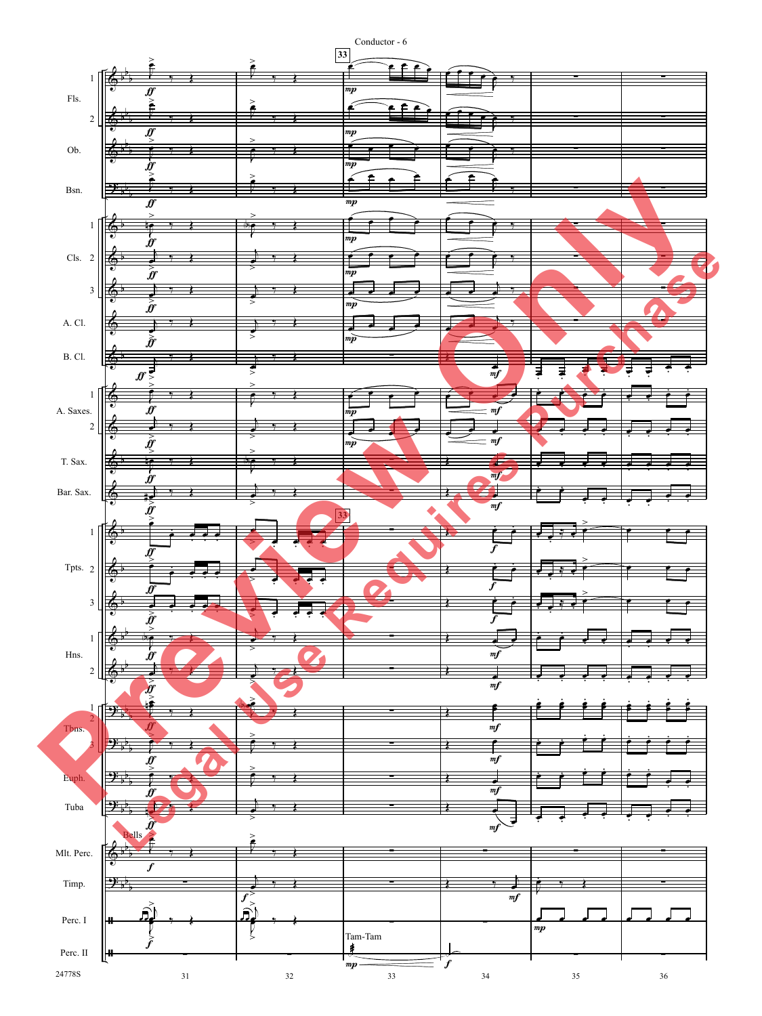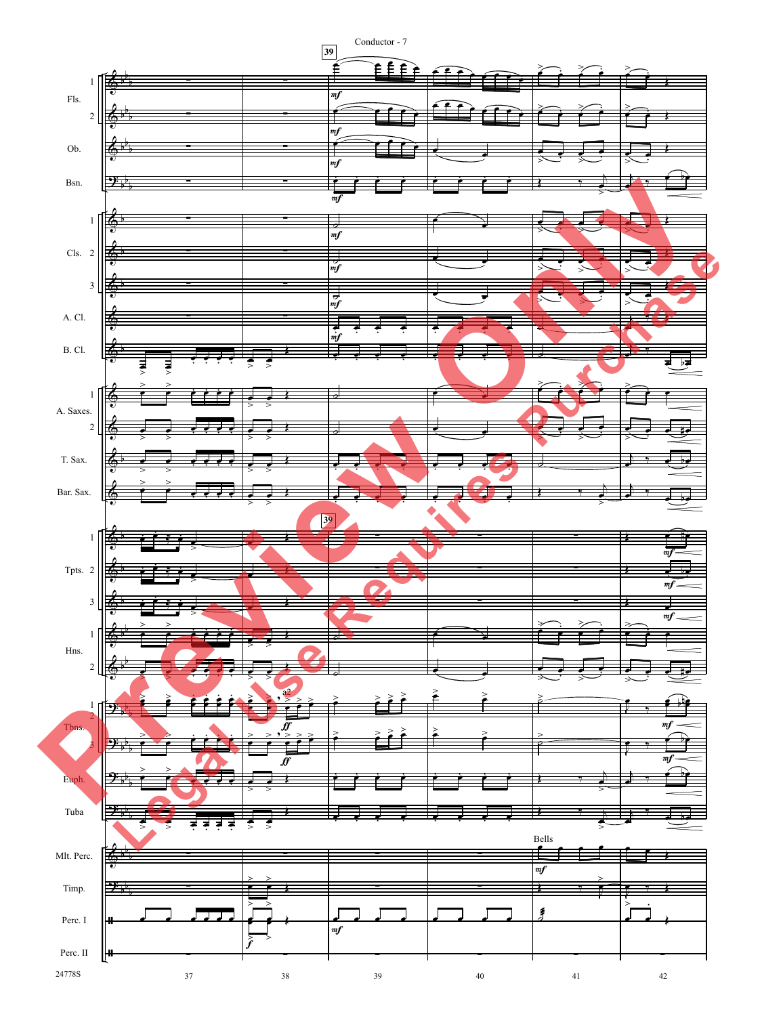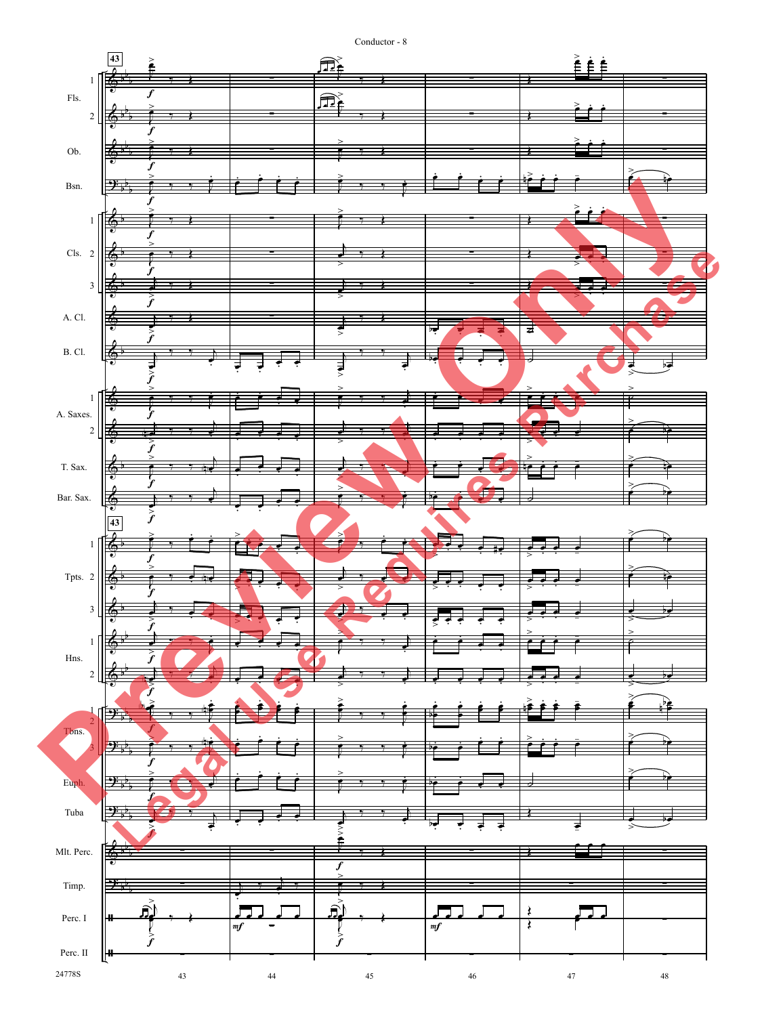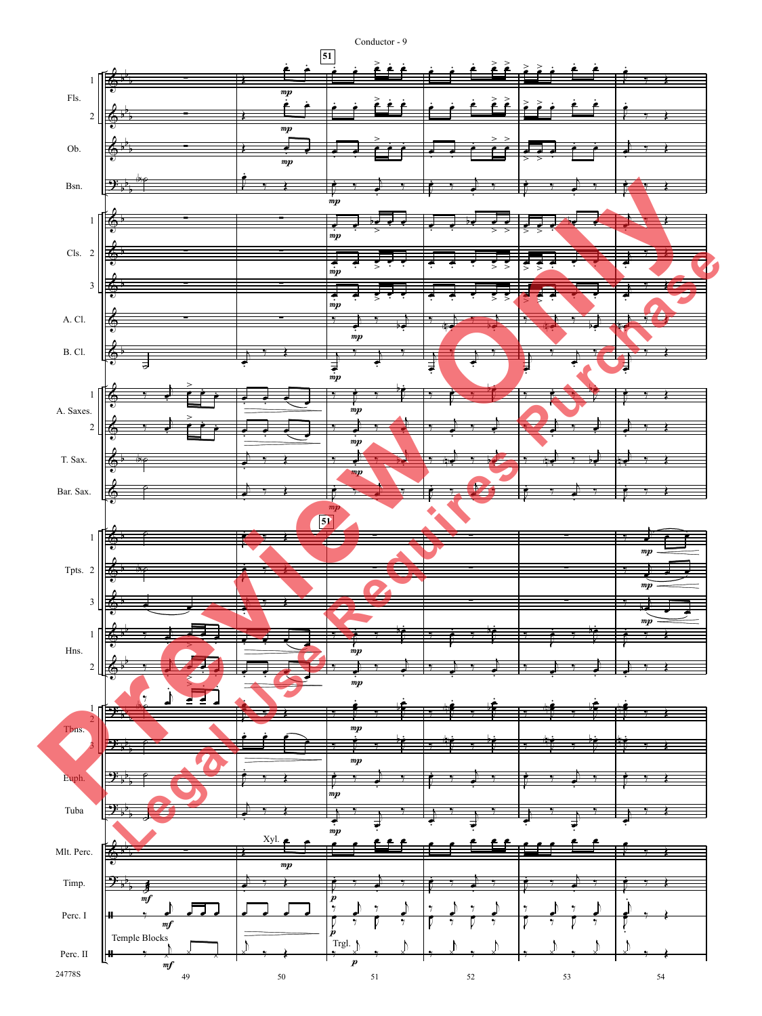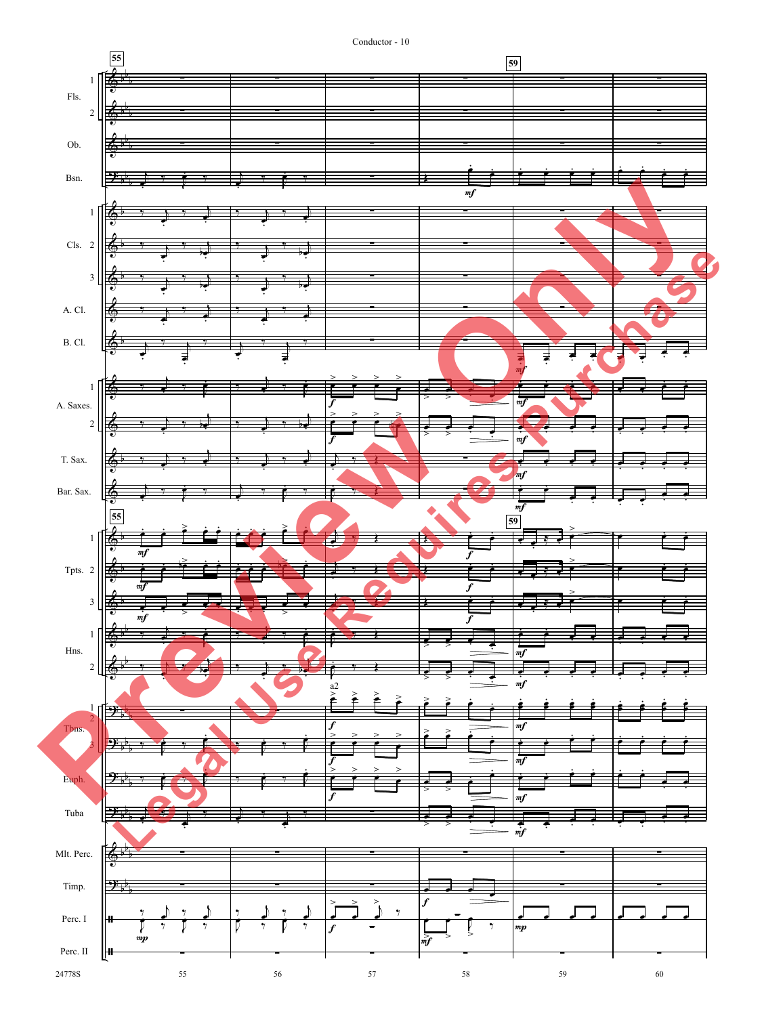